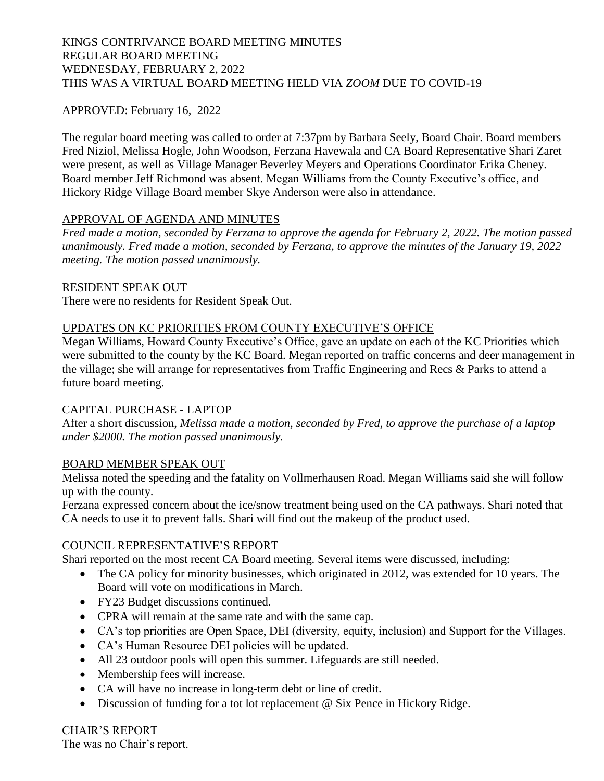# KINGS CONTRIVANCE BOARD MEETING MINUTES REGULAR BOARD MEETING WEDNESDAY, FEBRUARY 2, 2022 THIS WAS A VIRTUAL BOARD MEETING HELD VIA *ZOOM* DUE TO COVID-19

# APPROVED: February 16, 2022

The regular board meeting was called to order at 7:37pm by Barbara Seely, Board Chair. Board members Fred Niziol, Melissa Hogle, John Woodson, Ferzana Havewala and CA Board Representative Shari Zaret were present, as well as Village Manager Beverley Meyers and Operations Coordinator Erika Cheney. Board member Jeff Richmond was absent. Megan Williams from the County Executive's office, and Hickory Ridge Village Board member Skye Anderson were also in attendance.

### APPROVAL OF AGENDA AND MINUTES

*Fred made a motion, seconded by Ferzana to approve the agenda for February 2, 2022. The motion passed unanimously. Fred made a motion, seconded by Ferzana, to approve the minutes of the January 19, 2022 meeting. The motion passed unanimously.*

#### RESIDENT SPEAK OUT

There were no residents for Resident Speak Out.

### UPDATES ON KC PRIORITIES FROM COUNTY EXECUTIVE'S OFFICE

Megan Williams, Howard County Executive's Office, gave an update on each of the KC Priorities which were submitted to the county by the KC Board. Megan reported on traffic concerns and deer management in the village; she will arrange for representatives from Traffic Engineering and Recs & Parks to attend a future board meeting.

### CAPITAL PURCHASE - LAPTOP

After a short discussion, *Melissa made a motion, seconded by Fred, to approve the purchase of a laptop under \$2000. The motion passed unanimously.* 

### BOARD MEMBER SPEAK OUT

Melissa noted the speeding and the fatality on Vollmerhausen Road. Megan Williams said she will follow up with the county.

Ferzana expressed concern about the ice/snow treatment being used on the CA pathways. Shari noted that CA needs to use it to prevent falls. Shari will find out the makeup of the product used.

### COUNCIL REPRESENTATIVE'S REPORT

Shari reported on the most recent CA Board meeting. Several items were discussed, including:

- The CA policy for minority businesses, which originated in 2012, was extended for 10 years. The Board will vote on modifications in March.
- FY23 Budget discussions continued.
- CPRA will remain at the same rate and with the same cap.
- CA's top priorities are Open Space, DEI (diversity, equity, inclusion) and Support for the Villages.
- CA's Human Resource DEI policies will be updated.
- All 23 outdoor pools will open this summer. Lifeguards are still needed.
- Membership fees will increase.
- CA will have no increase in long-term debt or line of credit.
- Discussion of funding for a tot lot replacement @ Six Pence in Hickory Ridge.

# CHAIR'S REPORT

The was no Chair's report.